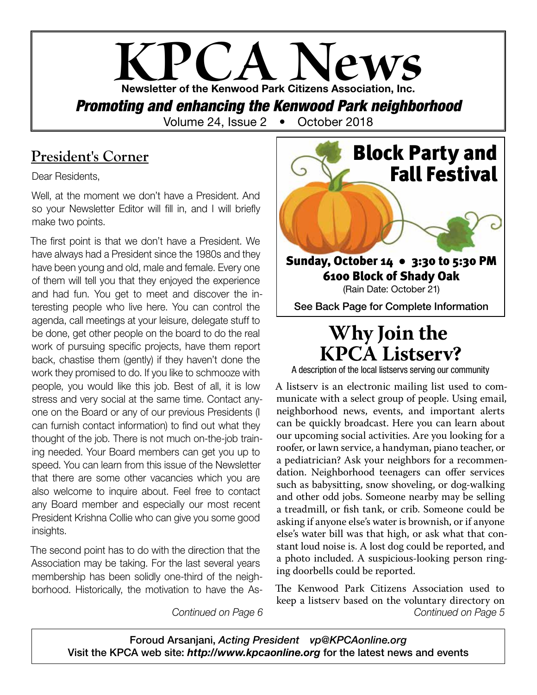## **KPCA News** Newsletter of the Kenwood Park Citizens Association, Inc. **Promoting and enhancing the Kenwood Park neighborhood**<br>Volume 24, Issue 2 **•** October 2018 Volume 24, Issue 2  $\bullet$

### **President's Corner**

Dear Residents,

Well, at the moment we don't have a President. And so your Newsletter Editor will fill in, and I will briefly make two points.

The first point is that we don't have a President. We have always had a President since the 1980s and they have been young and old, male and female. Every one of them will tell you that they enjoyed the experience and had fun. You get to meet and discover the interesting people who live here. You can control the agenda, call meetings at your leisure, delegate stuff to be done, get other people on the board to do the real work of pursuing specific projects, have them report back, chastise them (gently) if they haven't done the work they promised to do. If you like to schmooze with people, you would like this job. Best of all, it is low stress and very social at the same time. Contact anyone on the Board or any of our previous Presidents (I can furnish contact information) to find out what they thought of the job. There is not much on-the-job training needed. Your Board members can get you up to speed. You can learn from this issue of the Newsletter that there are some other vacancies which you are also welcome to inquire about. Feel free to contact any Board member and especially our most recent President Krishna Collie who can give you some good insights.

The second point has to do with the direction that the Association may be taking. For the last several years membership has been solidly one-third of the neighborhood. Historically, the motivation to have the As-



## **Why Join the KPCA Listserv?**

A description of the local listservs serving our community

A listserv is an electronic mailing list used to communicate with a select group of people. Using email, neighborhood news, events, and important alerts can be quickly broadcast. Here you can learn about our upcoming social activities. Are you looking for a roofer, or lawn service, a handyman, piano teacher, or a pediatrician? Ask your neighbors for a recommendation. Neighborhood teenagers can offer services such as babysitting, snow shoveling, or dog-walking and other odd jobs. Someone nearby may be selling a treadmill, or fish tank, or crib. Someone could be asking if anyone else's water is brownish, or if anyone else's water bill was that high, or ask what that constant loud noise is. A lost dog could be reported, and a photo included. A suspicious-looking person ringing doorbells could be reported.

*Continued on Page 6 Continued on Page 5* The Kenwood Park Citizens Association used to keep a listserv based on the voluntary directory on

Foroud Arsanjani, *Acting President vp@KPCAonline.org* Visit the KPCA web site: *http://www.kpcaonline.org* for the latest news and events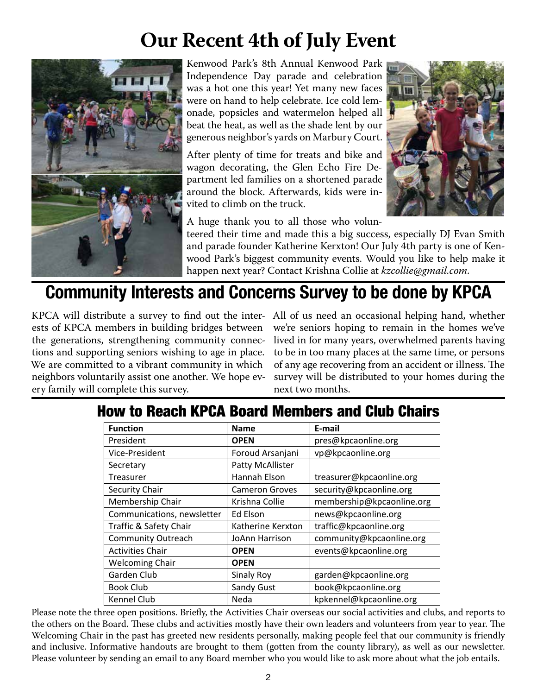# **Our Recent 4th of July Event**



Kenwood Park's 8th Annual Kenwood Park Independence Day parade and celebration was a hot one this year! Yet many new faces were on hand to help celebrate. Ice cold lemonade, popsicles and watermelon helped all beat the heat, as well as the shade lent by our generous neighbor's yards on Marbury Court.

After plenty of time for treats and bike and wagon decorating, the Glen Echo Fire Department led families on a shortened parade around the block. Afterwards, kids were invited to climb on the truck.



A huge thank you to all those who volun-

teered their time and made this a big success, especially DJ Evan Smith and parade founder Katherine Kerxton! Our July 4th party is one of Kenwood Park's biggest community events. Would you like to help make it happen next year? Contact Krishna Collie at *kzcollie@gmail.com*.

## Community Interests and Concerns Survey to be done by KPCA

KPCA will distribute a survey to find out the inter-All of us need an occasional helping hand, whether ests of KPCA members in building bridges between the generations, strengthening community connections and supporting seniors wishing to age in place. We are committed to a vibrant community in which neighbors voluntarily assist one another. We hope every family will complete this survey.

we're seniors hoping to remain in the homes we've lived in for many years, overwhelmed parents having to be in too many places at the same time, or persons of any age recovering from an accident or illness. The survey will be distributed to your homes during the next two months.

## How to Reach KPCA Board Members and Club Chairs

| <b>Function</b>            | <b>Name</b>           | E-mail                    |
|----------------------------|-----------------------|---------------------------|
| President                  | <b>OPEN</b>           | pres@kpcaonline.org       |
| Vice-President             | Foroud Arsanjani      | vp@kpcaonline.org         |
| Secretary                  | Patty McAllister      |                           |
| Treasurer                  | Hannah Elson          | treasurer@kpcaonline.org  |
| Security Chair             | <b>Cameron Groves</b> | security@kpcaonline.org   |
| Membership Chair           | Krishna Collie        | membership@kpcaonline.org |
| Communications, newsletter | Ed Elson              | news@kpcaonline.org       |
| Traffic & Safety Chair     | Katherine Kerxton     | traffic@kpcaonline.org    |
| <b>Community Outreach</b>  | JoAnn Harrison        | community@kpcaonline.org  |
| <b>Activities Chair</b>    | <b>OPEN</b>           | events@kpcaonline.org     |
| <b>Welcoming Chair</b>     | <b>OPEN</b>           |                           |
| Garden Club                | <b>Sinaly Roy</b>     | garden@kpcaonline.org     |
| <b>Book Club</b>           | Sandy Gust            | book@kpcaonline.org       |
| Kennel Club                | Neda                  | kpkennel@kpcaonline.org   |

Please note the three open positions. Briefly, the Activities Chair overseas our social activities and clubs, and reports to the others on the Board. These clubs and activities mostly have their own leaders and volunteers from year to year. The Welcoming Chair in the past has greeted new residents personally, making people feel that our community is friendly and inclusive. Informative handouts are brought to them (gotten from the county library), as well as our newsletter. Please volunteer by sending an email to any Board member who you would like to ask more about what the job entails.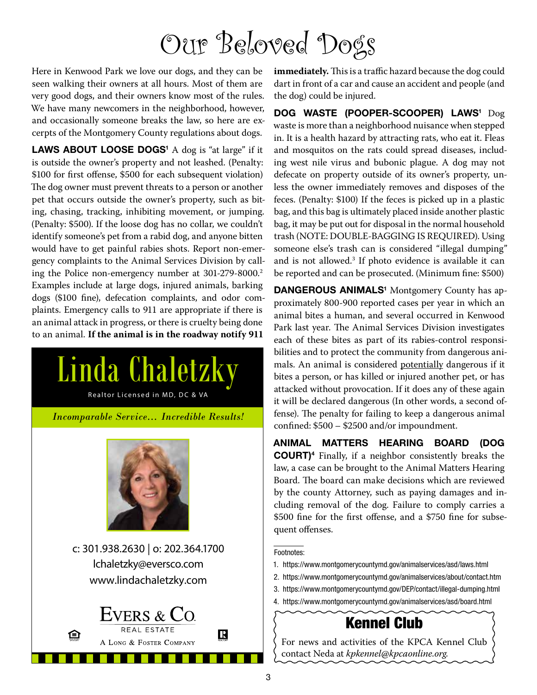# Our Beloved Dogs

Here in Kenwood Park we love our dogs, and they can be seen walking their owners at all hours. Most of them are very good dogs, and their owners know most of the rules. We have many newcomers in the neighborhood, however, and occasionally someone breaks the law, so here are excerpts of the Montgomery County regulations about dogs.

LAWS ABOUT LOOSE DOGS<sup>1</sup> A dog is "at large" if it is outside the owner's property and not leashed. (Penalty: \$100 for first offense, \$500 for each subsequent violation) The dog owner must prevent threats to a person or another pet that occurs outside the owner's property, such as biting, chasing, tracking, inhibiting movement, or jumping. (Penalty: \$500). If the loose dog has no collar, we couldn't identify someone's pet from a rabid dog, and anyone bitten would have to get painful rabies shots. Report non-emergency complaints to the Animal Services Division by calling the Police non-emergency number at 301-279-8000.2 Examples include at large dogs, injured animals, barking dogs (\$100 fine), defecation complaints, and odor complaints. Emergency calls to 911 are appropriate if there is an animal attack in progress, or there is cruelty being done to an animal. **If the animal is in the roadway notify 911** 



**immediately.** This is a traffic hazard because the dog could dart in front of a car and cause an accident and people (and the dog) could be injured.

DOG WASTE (POOPER-SCOOPER) LAWS<sup>1</sup> Dog waste is more than a neighborhood nuisance when stepped in. It is a health hazard by attracting rats, who eat it. Fleas and mosquitos on the rats could spread diseases, including west nile virus and bubonic plague. A dog may not defecate on property outside of its owner's property, unless the owner immediately removes and disposes of the feces. (Penalty: \$100) If the feces is picked up in a plastic bag, and this bag is ultimately placed inside another plastic bag, it may be put out for disposal in the normal household trash (NOTE: DOUBLE-BAGGING IS REQUIRED). Using someone else's trash can is considered "illegal dumping" and is not allowed.3 If photo evidence is available it can be reported and can be prosecuted. (Minimum fine: \$500)

DANGEROUS ANIMALS<sup>1</sup> Montgomery County has approximately 800-900 reported cases per year in which an animal bites a human, and several occurred in Kenwood Park last year. The Animal Services Division investigates each of these bites as part of its rabies-control responsibilities and to protect the community from dangerous animals. An animal is considered potentially dangerous if it bites a person, or has killed or injured another pet, or has attacked without provocation. If it does any of these again it will be declared dangerous (In other words, a second offense). The penalty for failing to keep a dangerous animal confined: \$500 – \$2500 and/or impoundment.

ANIMAL MATTERS HEARING BOARD (DOG COURT)4 Finally, if a neighbor consistently breaks the law, a case can be brought to the Animal Matters Hearing Board. The board can make decisions which are reviewed by the county Attorney, such as paying damages and including removal of the dog. Failure to comply carries a \$500 fine for the first offense, and a \$750 fine for subsequent offenses.

#### Footnotes:

- 1. https://www.montgomerycountymd.gov/animalservices/asd/laws.html
- 2. https://www.montgomerycountymd.gov/animalservices/about/contact.htm
- 3. https://www.montgomerycountymd.gov/DEP/contact/illegal-dumping.html
- 4. https://www.montgomerycountymd.gov/animalservices/asd/board.html

### Kennel Club

For news and activities of the KPCA Kennel Club contact Neda at *kpkennel@kpcaonline.org.*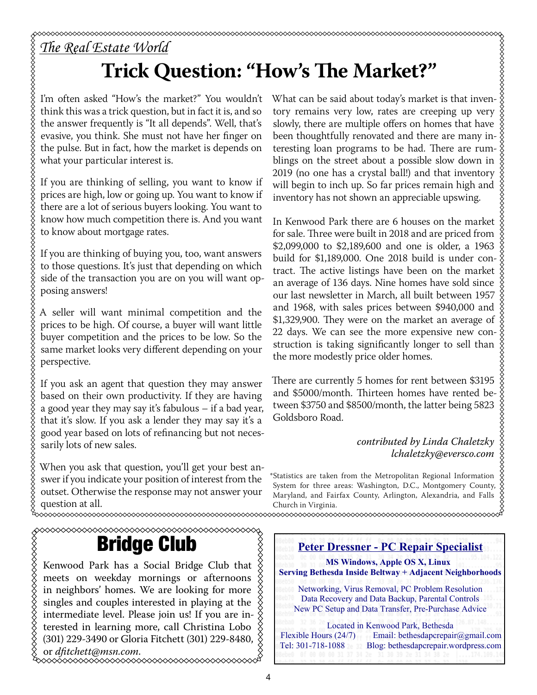# *The Real Estate World*

# **Trick Question: "How's The Market?"**

I'm often asked "How's the market?" You wouldn't think this was a trick question, but in fact it is, and so the answer frequently is "It all depends". Well, that's evasive, you think. She must not have her finger on the pulse. But in fact, how the market is depends on what your particular interest is.

If you are thinking of selling, you want to know if prices are high, low or going up. You want to know if there are a lot of serious buyers looking. You want to know how much competition there is. And you want to know about mortgage rates.

If you are thinking of buying you, too, want answers to those questions. It's just that depending on which side of the transaction you are on you will want opposing answers!

A seller will want minimal competition and the prices to be high. Of course, a buyer will want little buyer competition and the prices to be low. So the same market looks very different depending on your perspective.

If you ask an agent that question they may answer based on their own productivity. If they are having a good year they may say it's fabulous – if a bad year, that it's slow. If you ask a lender they may say it's a good year based on lots of refinancing but not necessarily lots of new sales.

When you ask that question, you'll get your best answer if you indicate your position of interest from the outset. Otherwise the response may not answer your question at all.<br>~~~~~~~~~~~~~~~~~~~~~~~~~~~~~~~~

Bridge Club

Kenwood Park has a Social Bridge Club that  $\frac{X}{X}$ meets on weekday mornings or afternoons in neighbors' homes. We are looking for more singles and couples interested in playing at the intermediate level. Please join us! If you are in- $\frac{8}{9}$ terested in learning more, call Christina Lobo (301) 229-3490 or Gloria Fitchett (301) 229-8480, or *dfitchett@msn.com*.

What can be said about today's market is that inventory remains very low, rates are creeping up very slowly, there are multiple offers on homes that have been thoughtfully renovated and there are many interesting loan programs to be had. There are rumblings on the street about a possible slow down in 2019 (no one has a crystal ball!) and that inventory will begin to inch up. So far prices remain high and inventory has not shown an appreciable upswing.

In Kenwood Park there are 6 houses on the market for sale. Three were built in 2018 and are priced from \$2,099,000 to \$2,189,600 and one is older, a 1963 build for \$1,189,000. One 2018 build is under contract. The active listings have been on the market an average of 136 days. Nine homes have sold since our last newsletter in March, all built between 1957 and 1968, with sales prices between \$940,000 and \$1,329,900. They were on the market an average of 22 days. We can see the more expensive new construction is taking significantly longer to sell than the more modestly price older homes.

There are currently 5 homes for rent between \$3195 and \$5000/month. Thirteen homes have rented between \$3750 and \$8500/month, the latter being 5823 Goldsboro Road.

### *contributed by Linda Chaletzky lchaletzky@eversco.com*

\*Statistics are taken from the Metropolitan Regional Information System for three areas: Washington, D.C., Montgomery County, Maryland, and Fairfax County, Arlington, Alexandria, and Falls Church in Virginia. 

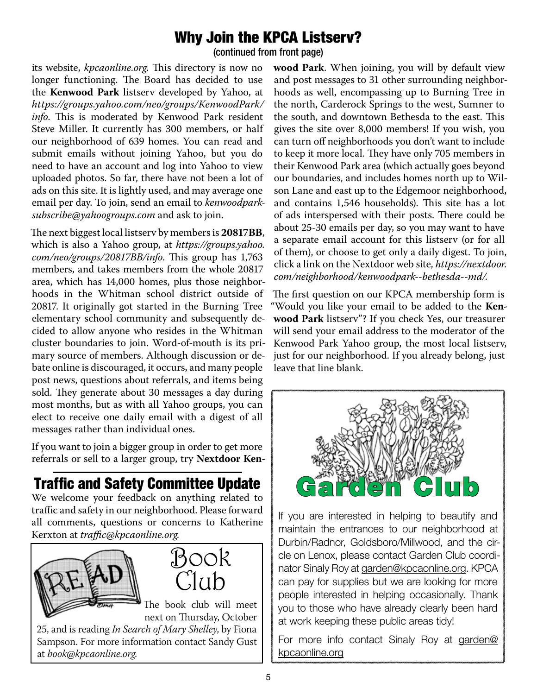### Why Join the KPCA Listserv?

(continued from front page)

its website, *kpcaonline.org*. This directory is now no longer functioning. The Board has decided to use the **Kenwood Park** listserv developed by Yahoo, at *https://groups.yahoo.com/neo/groups/KenwoodPark/ info*. This is moderated by Kenwood Park resident Steve Miller. It currently has 300 members, or half our neighborhood of 639 homes. You can read and submit emails without joining Yahoo, but you do need to have an account and log into Yahoo to view uploaded photos. So far, there have not been a lot of ads on this site. It is lightly used, and may average one email per day. To join, send an email to *kenwoodparksubscribe@yahoogroups.com* and ask to join.

The next biggest local listserv by members is **20817BB**, which is also a Yahoo group, at *https://groups.yahoo. com/neo/groups/20817BB/info*. This group has 1,763 members, and takes members from the whole 20817 area, which has 14,000 homes, plus those neighborhoods in the Whitman school district outside of 20817. It originally got started in the Burning Tree elementary school community and subsequently decided to allow anyone who resides in the Whitman cluster boundaries to join. Word-of-mouth is its primary source of members. Although discussion or debate online is discouraged, it occurs, and many people post news, questions about referrals, and items being sold. They generate about 30 messages a day during most months, but as with all Yahoo groups, you can elect to receive one daily email with a digest of all messages rather than individual ones.

If you want to join a bigger group in order to get more referrals or sell to a larger group, try **Nextdoor Ken-**

Traffic and Safety Committee Update

We welcome your feedback on anything related to traffic and safety in our neighborhood. Please forward all comments, questions or concerns to Katherine Kerxton at *traffic@kpcaonline.org.*





The book club will meet next on Thursday, October

25, and is reading *In Search of Mary Shelley*, by Fiona Sampson. For more information contact Sandy Gust at *book@kpcaonline.org*.

**wood Park**. When joining, you will by default view and post messages to 31 other surrounding neighborhoods as well, encompassing up to Burning Tree in the north, Carderock Springs to the west, Sumner to the south, and downtown Bethesda to the east. This gives the site over 8,000 members! If you wish, you can turn off neighborhoods you don't want to include to keep it more local. They have only 705 members in their Kenwood Park area (which actually goes beyond our boundaries, and includes homes north up to Wilson Lane and east up to the Edgemoor neighborhood, and contains 1,546 households). This site has a lot of ads interspersed with their posts. There could be about 25-30 emails per day, so you may want to have a separate email account for this listserv (or for all of them), or choose to get only a daily digest. To join, click a link on the Nextdoor web site, *https://nextdoor. com/neighborhood/kenwoodpark--bethesda--md/*.

The first question on our KPCA membership form is "Would you like your email to be added to the **Kenwood Park** listserv"? If you check Yes, our treasurer will send your email address to the moderator of the Kenwood Park Yahoo group, the most local listserv, just for our neighborhood. If you already belong, just leave that line blank.



If you are interested in helping to beautify and maintain the entrances to our neighborhood at Durbin/Radnor, Goldsboro/Millwood, and the circle on Lenox, please contact Garden Club coordinator Sinaly Roy at garden@kpcaonline.org. KPCA can pay for supplies but we are looking for more people interested in helping occasionally. Thank you to those who have already clearly been hard at work keeping these public areas tidy!

For more info contact Sinaly Roy at garden@ kpcaonline.org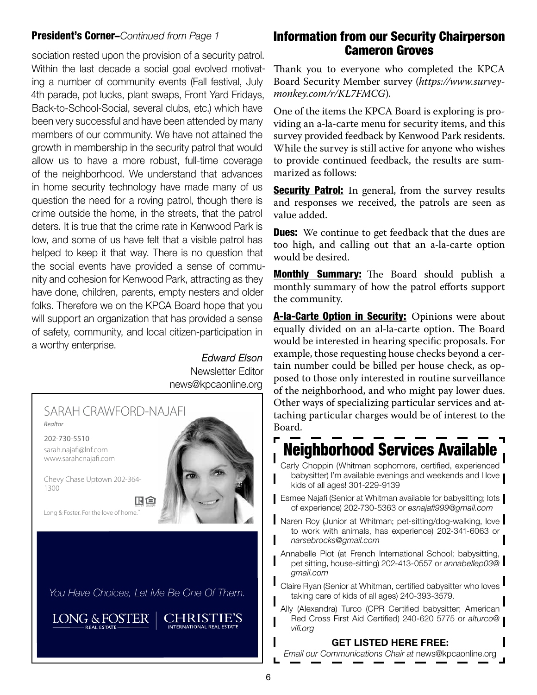#### President's Corner–*Continued from Page 1*

sociation rested upon the provision of a security patrol. Within the last decade a social goal evolved motivating a number of community events (Fall festival, July 4th parade, pot lucks, plant swaps, Front Yard Fridays, Back-to-School-Social, several clubs, etc.) which have been very successful and have been attended by many members of our community. We have not attained the growth in membership in the security patrol that would allow us to have a more robust, full-time coverage of the neighborhood. We understand that advances in home security technology have made many of us question the need for a roving patrol, though there is crime outside the home, in the streets, that the patrol deters. It is true that the crime rate in Kenwood Park is low, and some of us have felt that a visible patrol has helped to keep it that way. There is no question that the social events have provided a sense of community and cohesion for Kenwood Park, attracting as they have done, children, parents, empty nesters and older folks. Therefore we on the KPCA Board hope that you will support an organization that has provided a sense of safety, community, and local citizen-participation in a worthy enterprise.

*Edward Elson* Newsletter Editor news@kpcaonline.org



### Information from our Security Chairperson Cameron Groves

Thank you to everyone who completed the KPCA Board Security Member survey (*https://www.surveymonkey.com/r/KL7FMCG*).

One of the items the KPCA Board is exploring is providing an a-la-carte menu for security items, and this survey provided feedback by Kenwood Park residents. While the survey is still active for anyone who wishes to provide continued feedback, the results are summarized as follows:

**Security Patrol:** In general, from the survey results and responses we received, the patrols are seen as value added.

**Dues:** We continue to get feedback that the dues are too high, and calling out that an a-la-carte option would be desired.

Monthly **Summary:** The Board should publish a monthly summary of how the patrol efforts support the community.

A-la-Carte Option in Security: Opinions were about equally divided on an al-la-carte option. The Board would be interested in hearing specific proposals. For example, those requesting house checks beyond a certain number could be billed per house check, as opposed to those only interested in routine surveillance of the neighborhood, and who might pay lower dues. Other ways of specializing particular services and attaching particular charges would be of interest to the Board.

## Neighborhood Services Available

Carly Choppin (Whitman sophomore, certified, experienced babysitter) I'm available evenings and weekends and I love kids of all ages! 301-229-9139

- **Esmee Najafi (Senior at Whitman available for babysitting; lots** of experience) 202-730-5363 or *esnajafi999@gmail.com*
- Naren Roy (Junior at Whitman; pet-sitting/dog-walking, love to work with animals, has experience) 202-341-6063 or *narsebrocks@gmail.com*
- Annabelle Piot (at French International School; babysitting, pet sitting, house-sitting) 202-413-0557 or *annabellep03@ gmail.com*
- Claire Ryan (Senior at Whitman, certified babysitter who loves taking care of kids of all ages) 240-393-3579.

Ally (Alexandra) Turco (CPR Certified babysitter; American Red Cross First Aid Certified) 240-620 5775 or *alturco@ vifi.org*

#### GET LISTED HERE FREE:

*Email our Communications Chair at* news@kpcaonline.org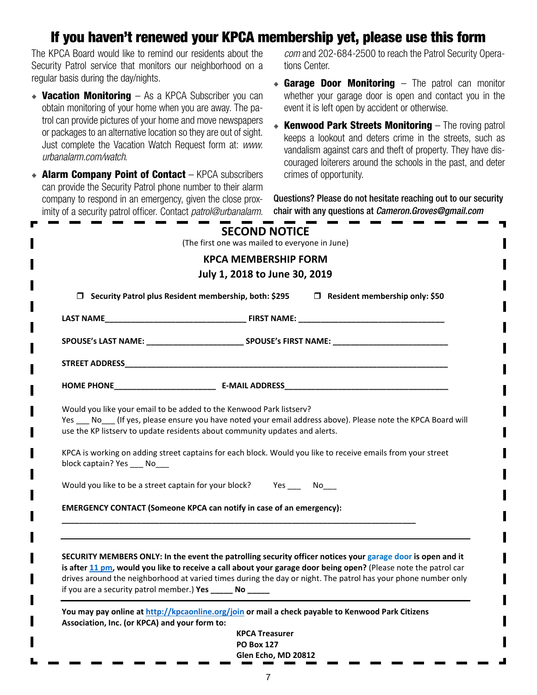### If you haven't renewed your KPCA membership yet, please use this form

The KPCA Board would like to remind our residents about the Security Patrol service that monitors our neighborhood on a regular basis during the day/nights.

- **Vacation Monitoring** As a KPCA Subscriber you can obtain monitoring of your home when you are away. The patrol can provide pictures of your home and move newspapers or packages to an alternative location so they are out of sight. Just complete the Vacation Watch Request form at: *www. urbanalarm.com/watch*.
- **Alarm Company Point of Contact** KPCA subscribers can provide the Security Patrol phone number to their alarm company to respond in an emergency, given the close proximity of a security patrol officer. Contact *patrol@urbanalarm.*

*com* and 202-684-2500 to reach the Patrol Security Operations Center.

- $\bullet$  Garage Door Monitoring The patrol can monitor whether your garage door is open and contact you in the event it is left open by accident or otherwise.
- **EXERIFY CHATE: Kenwood Park Streets Monitoring The roving patrol** keeps a lookout and deters crime in the streets, such as vandalism against cars and theft of property. They have discouraged loiterers around the schools in the past, and deter crimes of opportunity.

Questions? Please do not hesitate reaching out to our security chair with any questions at *Cameron.Groves@gmail.com*

| □ Security Patrol plus Resident membership, both: \$295<br>$\Box$ Resident membership only: \$50 |                                                                                                                                                                                                                                  |  |
|--------------------------------------------------------------------------------------------------|----------------------------------------------------------------------------------------------------------------------------------------------------------------------------------------------------------------------------------|--|
|                                                                                                  |                                                                                                                                                                                                                                  |  |
|                                                                                                  |                                                                                                                                                                                                                                  |  |
|                                                                                                  |                                                                                                                                                                                                                                  |  |
|                                                                                                  |                                                                                                                                                                                                                                  |  |
| block captain? Yes ____ No___                                                                    | KPCA is working on adding street captains for each block. Would you like to receive emails from your street                                                                                                                      |  |
|                                                                                                  | Would you like to be a street captain for your block? Yes No                                                                                                                                                                     |  |
|                                                                                                  | EMERGENCY CONTACT (Someone KPCA can notify in case of an emergency):                                                                                                                                                             |  |
|                                                                                                  |                                                                                                                                                                                                                                  |  |
|                                                                                                  |                                                                                                                                                                                                                                  |  |
|                                                                                                  |                                                                                                                                                                                                                                  |  |
|                                                                                                  | SECURITY MEMBERS ONLY: In the event the patrolling security officer notices your garage door is open and it                                                                                                                      |  |
| if you are a security patrol member.) Yes ______ No _____                                        | is after 11 pm, would you like to receive a call about your garage door being open? (Please note the patrol car<br>drives around the neighborhood at varied times during the day or night. The patrol has your phone number only |  |

**Glen Echo, MD 20812**